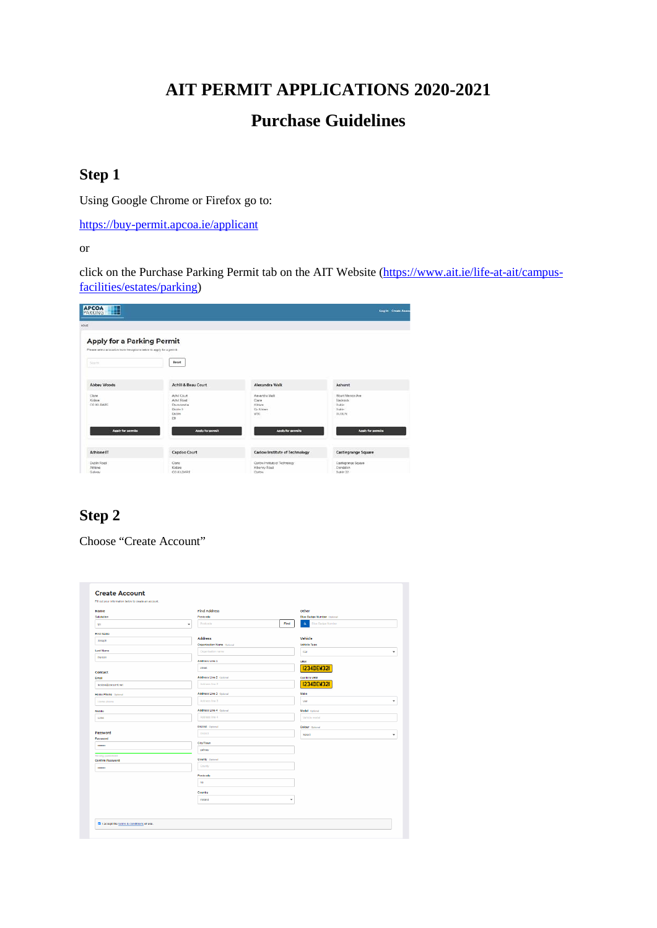### **AIT PERMIT APPLICATIONS 2020-2021**

# **Purchase Guidelines**

#### **Step 1**

Using Google Chrome or Firefox go to:

<https://buy-permit.apcoa.ie/applicant>

or

click on the Purchase Parking Permit tab on the AIT Website [\(https://www.ait.ie/life-at-ait/campus](https://www.ait.ie/life-at-ait/campus-facilities/estates/parking)[facilities/estates/parking\)](https://www.ait.ie/life-at-ait/campus-facilities/estates/parking)

| <b>APCOA</b><br>⊞<br>PARKING                                           |                                    |                                                 | <b>Log In Create Account</b>           |
|------------------------------------------------------------------------|------------------------------------|-------------------------------------------------|----------------------------------------|
| HOUE                                                                   |                                    |                                                 |                                        |
| <b>Apply for a Parking Permit</b>                                      |                                    |                                                 |                                        |
| Please select a location from the options below to apply for a percel. |                                    |                                                 |                                        |
| <b>Science</b>                                                         | Decet                              |                                                 |                                        |
|                                                                        |                                    |                                                 |                                        |
| <b>Abbey Woods</b>                                                     | Achill & Beau Court                | Alexandra Walk                                  | <b>Ashurst</b>                         |
| Clare<br>Kidsie                                                        | <b>Artist Criser</b><br>Achil Road | Alexandra Walk<br>Clara                         | Mount Memore Jive<br><b>Illackrock</b> |
| CO KILDARE                                                             | Disneonetia                        | Kittere                                         | Dublin                                 |
|                                                                        | Duction 19<br>Dublin               | Co Kristwa<br>wat                               | Dublin<br><b>DURUN</b>                 |
|                                                                        | D9                                 |                                                 |                                        |
| Apply for permits                                                      | Apply for permit                   | Apply for permits                               | Apply for permits                      |
|                                                                        |                                    |                                                 |                                        |
| Athlone IT                                                             | Capdoo Court                       | Carlow Institute of Technology                  | Castlegrange Square                    |
| Dublin Road<br><b>JENNA</b>                                            | Clane<br>Kidare                    | Carlow Institute of Technology<br>Kilkenny Road | Castlegrange Square<br>Clendable       |
| Galinav                                                                | <b>CO.KLDARE</b>                   | Carlos                                          | Dublin 22                              |

## **Step 2**

Choose "Create Account"

| <b>Name</b>                         | <b>Find Address</b>               |                       | Other                             |   |
|-------------------------------------|-----------------------------------|-----------------------|-----------------------------------|---|
| Salutation                          | Postcode                          |                       | <b>Blue Badge Number</b> Optional |   |
| Mr                                  | Postcode<br>٠                     | Find                  | ò.<br><b>Blue Badge Number</b>    |   |
| <b>First Name</b>                   |                                   |                       |                                   |   |
| Joseph                              | <b>Address</b>                    |                       | Vehicle                           |   |
|                                     | <b>Organisation Name</b> Optional |                       | <b>Vehicle Type</b>               |   |
| <b>Last Name</b>                    | Organisation name                 |                       | Car                               | ٠ |
| Person                              | Address Line 1                    |                       | <b>VRM</b>                        |   |
| Contact                             | street                            |                       | <b>I234DEW32I</b>                 |   |
| Email                               | <b>Address Line 2</b> Optional    |                       | <b>Confirm VRM</b>                |   |
| testjoe@jcesymt.net                 | Address Ine 2                     |                       | <b>I234DEW32I</b>                 |   |
| Home Phone Optional                 | Address Line 3 Optional           |                       | Make                              |   |
| Home phone                          | Address Inc 3                     |                       | w                                 |   |
| Mobile                              | <b>Address Line 4 Optional</b>    |                       | Model Optional                    |   |
| 1234                                | Address Inc 4                     |                       | Vahicle model                     |   |
|                                     | <b>District</b> Optional          |                       | Colour Optional                   |   |
| Password                            | <b>District</b>                   |                       | Select                            | ٠ |
| Password                            |                                   |                       |                                   |   |
|                                     | City/Town                         |                       |                                   |   |
|                                     | gateay                            |                       |                                   |   |
| Strong password<br>Confirm Password | County Optional                   |                       |                                   |   |
|                                     | County                            |                       |                                   |   |
|                                     | Postcode                          |                       |                                   |   |
|                                     | na                                |                       |                                   |   |
|                                     | Country                           |                       |                                   |   |
|                                     | Ireland                           | $\check{\phantom{a}}$ |                                   |   |
|                                     |                                   |                       |                                   |   |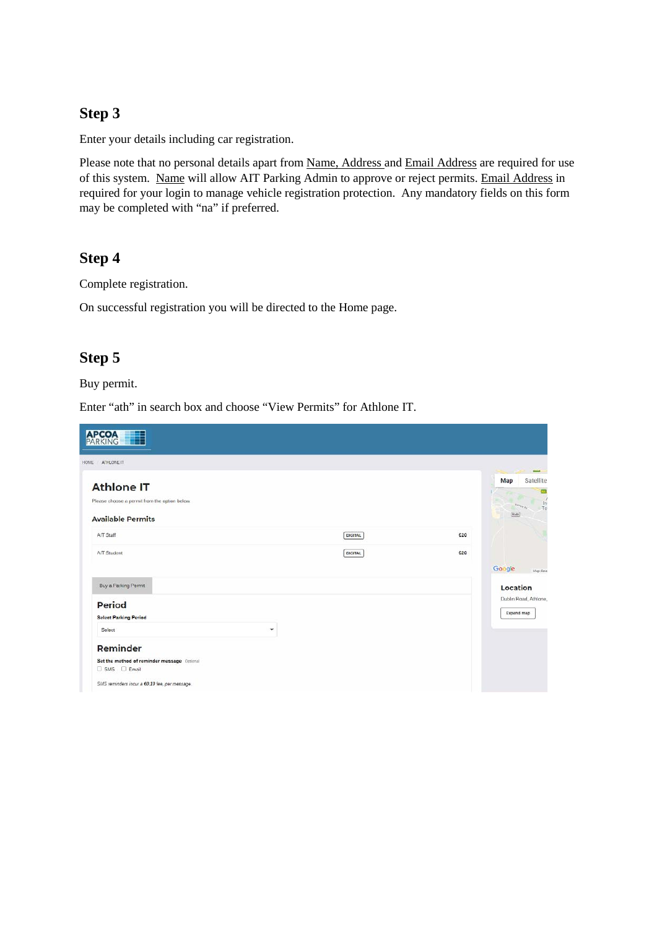### **Step 3**

Enter your details including car registration.

Please note that no personal details apart from Name, Address and Email Address are required for use of this system. Name will allow AIT Parking Admin to approve or reject permits. Email Address in required for your login to manage vehicle registration protection. Any mandatory fields on this form may be completed with "na" if preferred.

#### **Step 4**

Complete registration.

On successful registration you will be directed to the Home page.

#### **Step 5**

Buy permit.

Enter "ath" in search box and choose "View Permits" for Athlone IT.

| <b>APCOA</b><br>PARKING<br>E                  |                |     |                                                                           |
|-----------------------------------------------|----------------|-----|---------------------------------------------------------------------------|
| ATHLONE IT<br>HOME-                           |                |     |                                                                           |
| <b>Athlone IT</b>                             |                |     | <b>MAGE</b><br>Satellite<br>Map<br>西                                      |
| Please choose a permit from the option below. |                |     | $\mathcal{L}$<br>$\frac{Im}{Im}$<br>$\lambda_{\text{PPT},k_{\text{F}}}$ . |
| <b>Available Permits</b>                      |                |     | [RA6]                                                                     |
| AIT Staff                                     | <b>DIGITAL</b> | €20 |                                                                           |
| AIT Student                                   | DIGITAL        | €20 |                                                                           |
|                                               |                |     | Google<br>Map data                                                        |
| Buy a Parking Permit                          |                |     | Location                                                                  |
| <b>Period</b>                                 |                |     | Dublin Road, Athlone,                                                     |
| <b>Select Parking Period</b>                  |                |     | Expand map                                                                |
| Select                                        | ٠              |     |                                                                           |
| Reminder                                      |                |     |                                                                           |
| Set the method of reminder message Optional   |                |     |                                                                           |
| $\square$ SMS $\square$ Email                 |                |     |                                                                           |
| SMS reminders incur a €0.10 fee, per message. |                |     |                                                                           |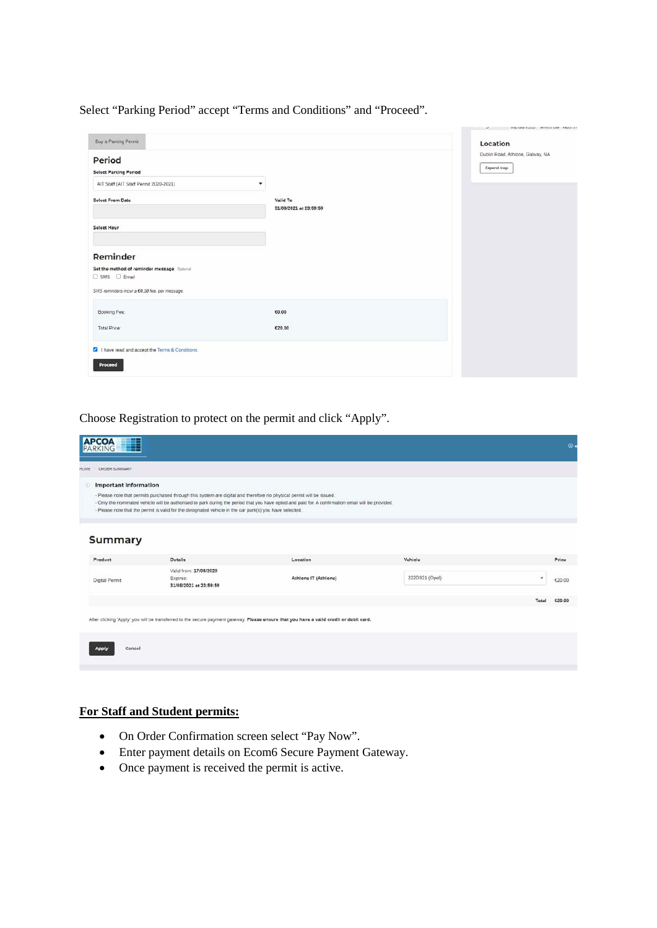Select "Parking Period" accept "Terms and Conditions" and "Proceed".

| Buy a Parking Permit                                                             |                                    | Location                                       |
|----------------------------------------------------------------------------------|------------------------------------|------------------------------------------------|
| Period<br><b>Select Parking Period</b><br>AIT Staff (AIT Staff Permit 2020-2021) | ۰                                  | Dublin Road, Athlone, Galway, NA<br>Expand map |
| <b>Select From Date</b>                                                          | Valid To<br>31/08/2021 at 23:59:59 |                                                |
| <b>Select Hour</b>                                                               |                                    |                                                |
| Reminder                                                                         |                                    |                                                |
| Set the method of reminder message Optional<br>$\Box$ SMS $\Box$ Email           |                                    |                                                |
| SMS reminders incur a €0.10 fee, per message.                                    |                                    |                                                |
| Booking Fee:                                                                     | €0.00                              |                                                |
| Total Price:                                                                     | €20.00                             |                                                |
| I have read and accept the Terms & Conditions.                                   |                                    |                                                |
| Proceed                                                                          |                                    |                                                |

Choose Registration to protect on the permit and click "Apply".

|             | <b>APCOA</b><br>PARKING<br>E |                                                                                                                                                                                                                                  |                                                                                                                                                    |                |       | $\circ$ |
|-------------|------------------------------|----------------------------------------------------------------------------------------------------------------------------------------------------------------------------------------------------------------------------------|----------------------------------------------------------------------------------------------------------------------------------------------------|----------------|-------|---------|
| <b>HOME</b> | ORDER SUMMARY                |                                                                                                                                                                                                                                  |                                                                                                                                                    |                |       |         |
|             | <b>Important Information</b> | - Please note that permits purchased through this system are digital and therefore no physical permit will be issued.<br>- Please note that the permit is valid for the designated vehicle in the car park(s) you have selected. | - Only the nominated vehicle will be authorised to park during the period that you have opted and paid for. A confirmation email will be provided. |                |       |         |
|             | <b>Summary</b>               |                                                                                                                                                                                                                                  |                                                                                                                                                    |                |       |         |
|             | Product                      | Details                                                                                                                                                                                                                          | Location                                                                                                                                           | Vehicle        |       | Price   |
|             | Digital Permit               | Valid from: 17/08/2020<br>Expires:<br>31/08/2021 at 23:59:59                                                                                                                                                                     | Athlone IT (Athlone)                                                                                                                               | 222D321 (Opel) | ٠     | €20.00  |
|             |                              |                                                                                                                                                                                                                                  |                                                                                                                                                    |                | Total | €20.00  |
|             |                              |                                                                                                                                                                                                                                  | After clicking 'Apply' you will be transferred to the secure payment gateway. Please ensure that you have a valid credit or debit card.            |                |       |         |
|             | Cancel<br><b>Apply</b>       |                                                                                                                                                                                                                                  |                                                                                                                                                    |                |       |         |

#### **For Staff and Student permits:**

- On Order Confirmation screen select "Pay Now".
- Enter payment details on Ecom6 Secure Payment Gateway.
- Once payment is received the permit is active.